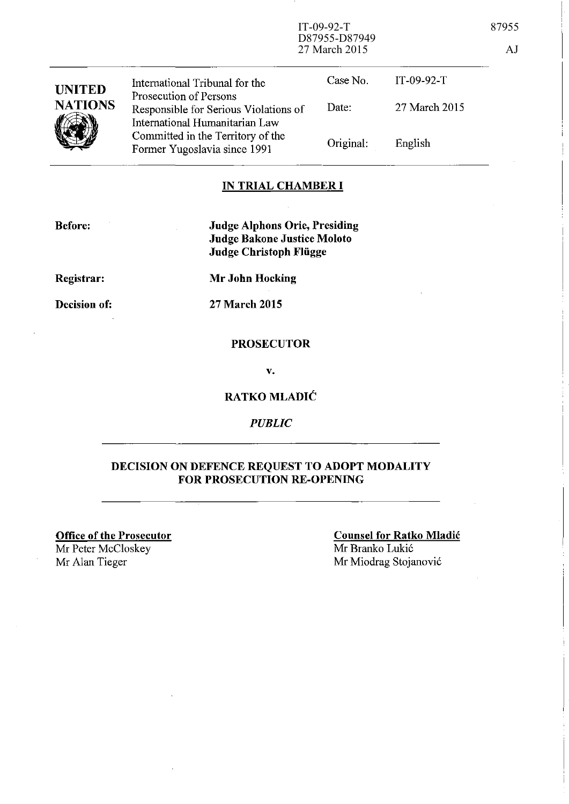IT-09-92-T 87955 D87955-D87949 27 March 2015 AJ

| <b>UNITED</b><br><b>NATIONS</b> | International Tribunal for the                                                                    | Case No.  | $IT-09-92-T$  |
|---------------------------------|---------------------------------------------------------------------------------------------------|-----------|---------------|
|                                 | Prosecution of Persons<br>Responsible for Serious Violations of<br>International Humanitarian Law | Date:     | 27 March 2015 |
|                                 | Committed in the Territory of the<br>Former Yugoslavia since 1991                                 | Original: | English       |

### **IN TRIAL CHAMBER I**

**Before:** 

**Judge Alphons Orie, Presiding Judge Bakone Justice Moloto Judge Christoph Fliigge** 

**Registrar:** 

**Decision of:** 

27 **March 2015** 

**Mr John Hocking** 

#### **PROSECUTOR**

v.

### **RATKO MLADIC**

*PUBLIC* 

### **DECISION ON DEFENCE REQUEST TO ADOPT MODALITY FOR PROSECUTION RE-OPENING**

**Office of the Prosecutor**  Mr Peter McCloskey Mr Alan Tieger

**Counsel for Ratko Mladic**  Mr Branko Lukic Mr Miodrag Stojanovic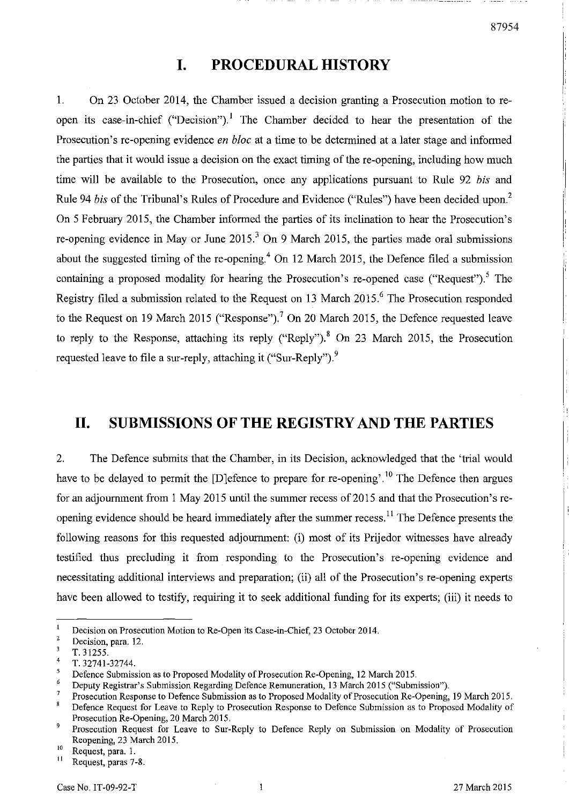# **I. PROCEDURAL HISTORY**

1. On 23 October 2014, the Chamber issued a decision granting a Prosecution motion to reopen its case-in-chief ("Decision").! The Chamber decided to hear the presentation of the Prosecution's re-opening evidence *en bloc* at a time to be determined at a later stage and informed the parties that it would issue a decision on the exact timing of the re-opening, including how much time will be available to the Prosecution, once any applications pursuant to Rule 92 *bis* and Rule 94 *bis* of the Tribunal's Rules of Procedure and Evidence ("Rules") have been decided upon? On 5 February 2015, the Chamber informed the parties of its inclination to hear the Prosecution's re-opening evidence in May or June  $2015<sup>3</sup>$  On 9 March 2015, the parties made oral submissions about the suggested timing of the re-opening.<sup>4</sup> On 12 March 2015, the Defence filed a submission containing a proposed modality for hearing the Prosecution's re-opened case ("Request").<sup>5</sup> The Registry filed a submission related to the Request on 13 March 2015.<sup>6</sup> The Prosecution responded to the Request on 19 March 2015 ("Response").<sup>7</sup> On 20 March 2015, the Defence requested leave to reply to the Response, attaching its reply ("Reply").<sup>8</sup> On 23 March 2015, the Prosecution requested leave to file a sur-reply, attaching it ("Sur-Reply").<sup>9</sup>

## **II. SUBMISSIONS OF THE REGISTRY AND THE PARTIES**

2. The Defence submits that the Chamber, in its Decision, acknowledged that the 'trial would have to be delayed to permit the [D]efence to prepare for re-opening'.<sup>10</sup> The Defence then argues for an adjournment from 1 May 2015 until the summer recess of 2015 and that the Prosecution's reopening evidence should be heard immediately after the summer recess.<sup>11</sup> The Defence presents the following reasons for this requested adjournment: (i) most of its Prijedor witnesses have already testified thus precluding it from responding to the Prosecution's re-opening evidence and necessitating additional interviews and preparation; (ii) all of the Prosecution's re-opening experts have been allowed to testify, requiring it to seek additional funding for its experts; (iii) it needs to

 $\mathbf{1}$ Decision on Prosecution Motion to Re-Open its Case-in-Chief, 23 October 2014.

<sup>2</sup>  Decision, para. 12.

 $\overline{\mathbf{3}}$ T.31255.

<sup>4</sup>  T.32741-32744.

<sup>5</sup> Defence Submission as to Proposed Modality of Prosecution Re-Opening, 12 March 2015.

 $\boldsymbol{6}$ Deputy Registrar's Submission Regarding Defence Remuneration, 13 March 2015 ("Submission").

<sup>&</sup>lt;sup>7</sup> Prosecution Response to Defence Submission as to Proposed Modality of Prosecution Re-Opening, 19 March 2015.

Defence Request for Leave to Reply to Prosecution Response to Defence Submission as to Proposed Modality of Prosecution Re-Opening, 20 March 2015.

<sup>9</sup> Prosecution Request for Leave to Sur-Reply to Defence Reply on Submission on Modality of Prosecution Reopening, 23 March 2015.

 $^{10}$  Request, para. 1.

Request, paras 7-8.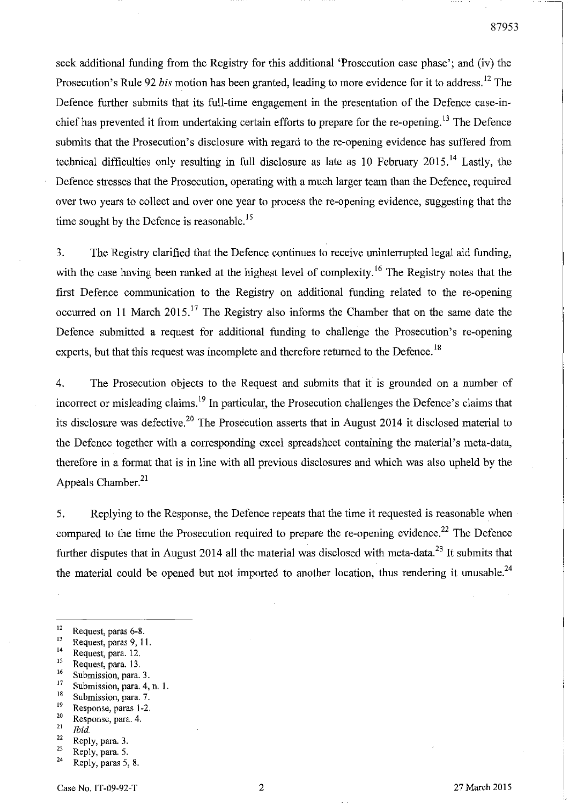seek additional funding from the Registry for this additional 'Prosecution case phase'; and (iv) the Prosecution's Rule 92 *his* motion has been granted, leading to more evidence for it to address. 12 The Defence further submits that its full-time engagement in the presentation of the Defence case-inchief has prevented it from undertaking certain efforts to prepare for the re-opening.<sup>13</sup> The Defence submits that the Prosecution's disclosure with regard to the re-opening evidence has suffered from technical difficulties only resulting in full disclosure as late as 10 February 2015.<sup>14</sup> Lastly, the Defence stresses that the Prosecution, operating with a much larger team than the Defence, required over two years to collect and over one year to process the re-opening evidence, suggesting that the time sought by the Defence is reasonable.<sup>15</sup>

3. The Registry clarified that the Defence continues to receive uninterrupted legal aid funding, with the case having been ranked at the highest level of complexity.<sup>16</sup> The Registry notes that the first Defence communication to the Registry on additional funding related to the re-opening occurred on 11 March 2015.<sup>17</sup> The Registry also informs the Chamber that on the same date the Defence submitted a request for additional funding to challenge the Prosecution's re-opening experts, but that this request was incomplete and therefore returned to the Defence.<sup>18</sup>

4. The Prosecution objects to the Request and submits that it is grounded on a number of incorrect or misleading claims.<sup>19</sup> In particular, the Prosecution challenges the Defence's claims that its disclosure was defective.<sup>20</sup> The Prosecution asserts that in August 2014 it disclosed material to the Defence together with a corresponding excel spreadsheet containing the material's meta-data, therefore in a format that is in line with all previous disclosures and which was also upheld by the Appeals Chamber.<sup>21</sup>

5. Replying to the Response, the Defence repeats that the time it requested is reasonable when compared to the time the Prosecution required to prepare the re-opening evidence.<sup>22</sup> The Defence further disputes that in August 2014 all the material was disclosed with meta-data.<sup>23</sup> It submits that the material could be opened but not imported to another location, thus rendering it unusable.<sup>24</sup>

- $^{15}$  Request, para. 13.
- <sup>16</sup> Submission, para. 3.<br><sup>17</sup> Submission, para. 4
- <sup>17</sup> Submission, para. 4, n. 1.<br><sup>18</sup> Submission, para. 7
- <sup>18</sup> Submission, para. 7.<br><sup>19</sup> Besponse paras 1-2
- $\frac{19}{20}$  Response, paras 1-2.
- $\frac{20}{21}$  Response, para. 4.
- $\frac{21}{22}$  *Ibid.*
- $\frac{22}{23}$  Reply, para. 3.
- Reply, para. 5.  $24$  Reply, paras 5, 8.
- 

 $^{12}$  Request, paras 6-8.

 $^{13}$  Request, paras 9, 11.

 $14$  Request, para. 12.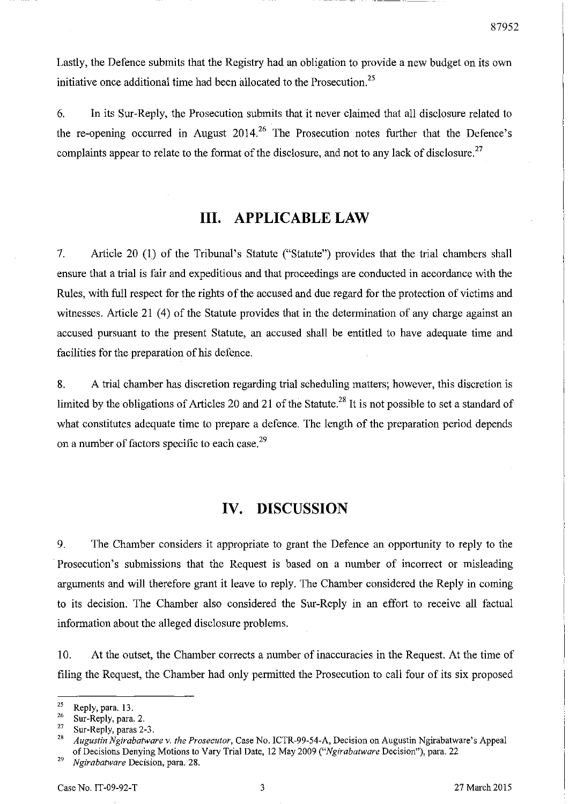Lastly, the Defence submits that the Registry had an obligation to provide a new budget on its own initiative once additional time had been allocated to the Prosecution.<sup>25</sup>

6. In its Sur-Reply, the Prosecution submits that it never claimed that all disclosure related to the re-opening occurred in August  $2014$ <sup>26</sup>. The Prosecution notes further that the Defence's complaints appear to relate to the format of the disclosure, and not to any lack of disclosure.<sup>27</sup>

# **III. APPLICABLE LAW**

7. Article 20 (1) of the Tribunal's Statute ("Statute") provides that the trial chambers shall ensure that a trial is fair and expeditious and that proceedings are conducted in accordance with the Rules, with full respect for the rights of the accused and due regard for the protection of victims and witnesses. Article 21 (4) of the Statute provides that in the determination of any charge against an accused pursuant to the present Statute, an accused shall be entitled to have adequate time and facilities for the preparation of his defence.

8. A trial chamber has discretion regarding trial scheduling matters; however, this discretion is limited by the obligations of Articles 20 and 21 of the Statute.<sup>28</sup> It is not possible to set a standard of what constitutes adequate time to prepare a defence. The length of the preparation period depends on a number of factors specific to each case.<sup>29</sup>

## **IV. DISCUSSION**

9. The Chamber considers it appropriate to grant the Defence an opportunity to reply to the Prosecution's submissions that the Request is based on a number of incorrect or misleading arguments and will therefore grant it leave to reply. The Chamber considered the Reply in coming to its decision. The Chamber also considered the Sur-Reply in an effort to receive all factual information about the alleged disclosure problems.

10. At the outset, the Chamber corrects a number of inaccuracies in the Request. At the time of filing the Request, the Chamber had only permitted the Prosecution to call four of its six proposed

 $\frac{25}{26}$  Reply, para. 13.

 $\frac{26}{27}$  Sur-Reply, para. 2.

<sup>&</sup>lt;sup>27</sup> Sur-Reply, paras 2-3.

<sup>28</sup>*Augustin Ngirabatware* v. *the Prosecutor,* Case No. ICTR-99-54-A, Decision on Augustin Ngirabatware's Appeal of Decisions Denying Motions to Vary Trial Date, 12 May 2009 *("Ng;rabatware* Decision"), para. 22

*<sup>29</sup>Ngirabatware* **Decision, para. '28.**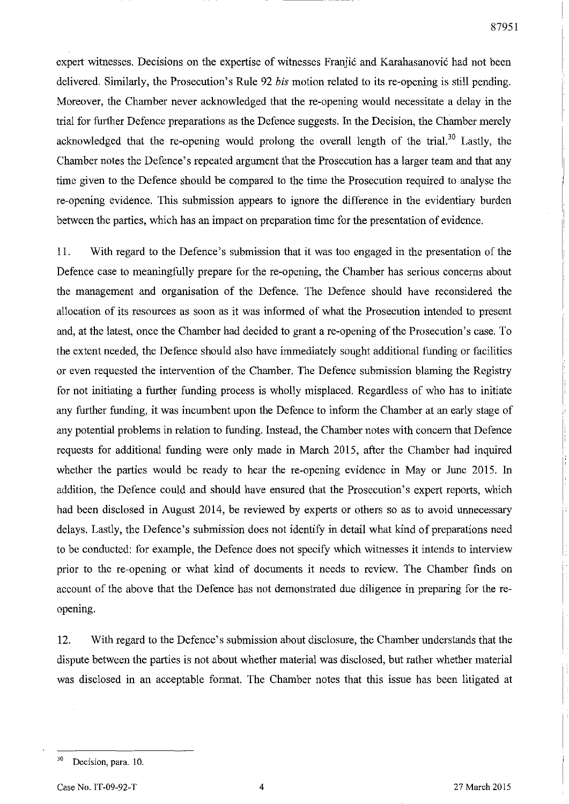expert witnesses. Decisions on the expertise of witnesses Franjic and Karahasanovic had not been delivered. Similarly, the Prosecution's Rule 92 *bis* motion related to its re-opening is still pending. Moreover, the Chamber never acknowledged that the re-opening would necessitate a delay in the trial for further Defence preparations as the Defence suggests. In the Decision, the Chamber merely acknowledged that the re-opening would prolong the overall length of the trial.<sup>30</sup> Lastly, the Chamber notes the Defence's repeated argument that the Prosecution has a larger team and that any time given to the Defence should be compared to the time the Prosecution required to analyse the re-opening evidence. This submission appears to ignore the difference in the evidentiary burden between the parties, which has an impact on preparation time for the presentation of evidence.

11. With regard to the Defence's submission that it was too engaged in the presentation of the Defence case to meaningfully prepare for the re-opening, the Chamber has serious concerns about the management and organisation of the Defence. The Defence should have reconsidered the allocation of its resources as soon as it was informed of what the Prosecution intended to present and, at the latest, once the Chamber had decided to grant are-opening of the Prosecution's case. To the extent needed, the Defence should also have immediately sought additional funding or facilities or even requested the intervention of the Chamber. The Defence submission blaming the Registry for not initiating a further funding process is wholly misplaced. Regardless of who has to initiate any further funding, it was incumbent upon the Defence to inform the Chamber at an early stage of any potential problems in relation to funding. Instead, the Chamber notes with concern that Defence requests for additional funding were only made in March 2015, after the Chamber had inquired whether the parties would be ready to hear the re-opening evidence in May or June 2015. In addition, the Defence could and should have ensured that the Prosecution's expert reports, which had been disclosed in August 2014, be reviewed by experts or others so as to avoid unnecessary delays. Lastly, the Defence's submission does not identify in detail what kind of preparations need to be conducted: for example, the Defence does not specify which witnesses it intends to interview prior to the re-opening or what kind of documents it needs to review. The Chamber finds on account of the above that the Defence has not demonstrated due diligence in preparing for the reopening.

12. With regard to the Defence's submission about disclosure, the Chamber understands that the dispute between the parties is not about whether material was disclosed, but rather whether material was disclosed in an acceptable format. The Chamber notes that this issue has been litigated at

<sup>&</sup>lt;sup>30</sup> Decision, para. 10.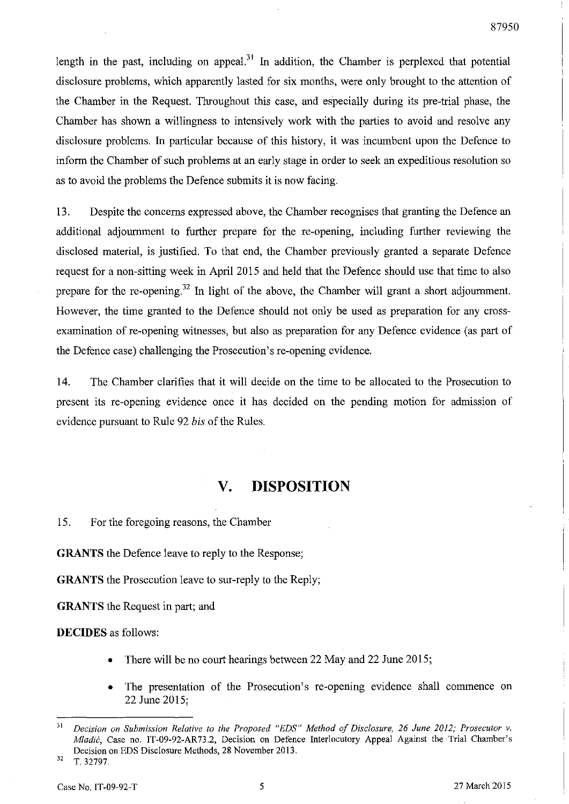length in the past, including on appeal.<sup>31</sup> In addition, the Chamber is perplexed that potential disclosure problems, which apparently lasted for six months, were only brought to the attention of the Chamber in the Request. Throughout this case, and especially during its pre-trial phase, the Chamber has shown a willingness to intensively work with the parties to avoid and resolve any disclosure problems. In particular because of this history, it was incumbent upon the Defence to inform the Chamber of such problems at an early stage in order to seek an expeditious resolution so as to avoid the problems the Defence submits it is now facing.

13. Despite the concerns expressed above, the Chamber recognises that granting the Defence an additional adjournment to further prepare for the re-opening, including further reviewing the disclosed material, is justified. To that end, the Chamber previously granted a separate Defence request for a non-sitting week in April 2015 and held that the Defence should use that time to also prepare for the re-opening.<sup>32</sup> In light of the above, the Chamber will grant a short adjournment. However, the time granted to the Defence should not only be used as preparation for any crossexamination of re-opening witnesses, but also as preparation for any Defence evidence (as part of the Defence case) challenging the Prosecution's re-opening evidence.

14. The Chamber clarifies that it will decide on the time to be allocated to the Prosecution to present its re-opening evidence once it has decided on the pending motion for admission of evidence pursuant to Rule 92 *his* of the Rules.

## **v. DISPOSITION**

15. For the foregoing reasons, the Chamber

**GRANTS** the Defence leave to reply to the Response;

**GRANTS** the Prosecution leave to sur-reply to the Reply;

**GRANTS** the Request in part; and

**DECIDES** as follows:

- There will be no court hearings between 22 May and 22 June 2015;
- The presentation of the Prosecution's re-opening evidence shall commence on 22 June 2015;

*<sup>31</sup> Decision on Submission Relative to the Proposed "EDS" Method of Disclosure,* 26 *June 2012; Prosecutor* v. *Mladic,* Case no. IT-09-92-AR73.2, Decision on Defence Interlocutory Appeal Against the Trial Chamber's Decision on EDS Disclosure Methods, 28 November 2013. 32 T.32797.